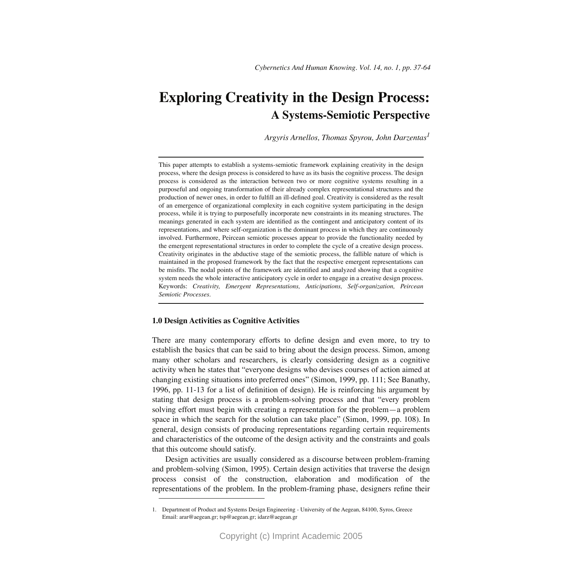# **Exploring Creativity in the Design Process: A Systems-Semiotic Perspective**

*Argyris Arnellos, Thomas Spyrou, John Darzentas<sup>1</sup>*

This paper attempts to establish a systems-semiotic framework explaining creativity in the design process, where the design process is considered to have as its basis the cognitive process. The design process is considered as the interaction between two or more cognitive systems resulting in a purposeful and ongoing transformation of their already complex representational structures and the production of newer ones, in order to fulfill an ill-defined goal. Creativity is considered as the result of an emergence of organizational complexity in each cognitive system participating in the design process, while it is trying to purposefully incorporate new constraints in its meaning structures. The meanings generated in each system are identified as the contingent and anticipatory content of its representations, and where self-organization is the dominant process in which they are continuously involved. Furthermore, Peircean semiotic processes appear to provide the functionality needed by the emergent representational structures in order to complete the cycle of a creative design process. Creativity originates in the abductive stage of the semiotic process, the fallible nature of which is maintained in the proposed framework by the fact that the respective emergent representations can be misfits. The nodal points of the framework are identified and analyzed showing that a cognitive system needs the whole interactive anticipatory cycle in order to engage in a creative design process. Keywords: *Creativity, Emergent Representations, Anticipations, Self-organization, Peircean Semiotic Processes.*

# **1.0 Design Activities as Cognitive Activities**

There are many contemporary efforts to define design and even more, to try to establish the basics that can be said to bring about the design process. Simon, among many other scholars and researchers, is clearly considering design as a cognitive activity when he states that "everyone designs who devises courses of action aimed at changing existing situations into preferred ones" (Simon, 1999, pp. 111; See Banathy, 1996, pp. 11-13 for a list of definition of design). He is reinforcing his argument by stating that design process is a problem-solving process and that "every problem solving effort must begin with creating a representation for the problem—a problem space in which the search for the solution can take place" (Simon, 1999, pp. 108). In general, design consists of producing representations regarding certain requirements and characteristics of the outcome of the design activity and the constraints and goals that this outcome should satisfy.

Design activities are usually considered as a discourse between problem-framing and problem-solving (Simon, 1995). Certain design activities that traverse the design process consist of the construction, elaboration and modification of the representations of the problem. In the problem-framing phase, designers refine their

<sup>1.</sup> Department of Product and Systems Design Engineering - University of the Aegean, 84100, Syros, Greece Email: arar@aegean.gr; tsp@aegean.gr; idarz@aegean.gr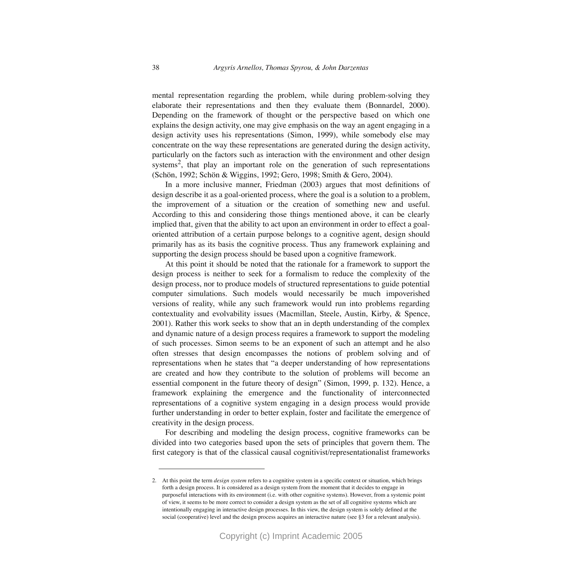mental representation regarding the problem, while during problem-solving they elaborate their representations and then they evaluate them (Bonnardel, 2000). Depending on the framework of thought or the perspective based on which one explains the design activity, one may give emphasis on the way an agent engaging in a design activity uses his representations (Simon, 1999), while somebody else may concentrate on the way these representations are generated during the design activity, particularly on the factors such as interaction with the environment and other design systems<sup>2</sup>, that play an important role on the generation of such representations (Schön, 1992; Schön & Wiggins, 1992; Gero, 1998; Smith & Gero, 2004).

In a more inclusive manner, Friedman (2003) argues that most definitions of design describe it as a goal-oriented process, where the goal is a solution to a problem, the improvement of a situation or the creation of something new and useful. According to this and considering those things mentioned above, it can be clearly implied that, given that the ability to act upon an environment in order to effect a goaloriented attribution of a certain purpose belongs to a cognitive agent, design should primarily has as its basis the cognitive process. Thus any framework explaining and supporting the design process should be based upon a cognitive framework.

At this point it should be noted that the rationale for a framework to support the design process is neither to seek for a formalism to reduce the complexity of the design process, nor to produce models of structured representations to guide potential computer simulations. Such models would necessarily be much impoverished versions of reality, while any such framework would run into problems regarding contextuality and evolvability issues (Macmillan, Steele, Austin, Kirby, & Spence, 2001). Rather this work seeks to show that an in depth understanding of the complex and dynamic nature of a design process requires a framework to support the modeling of such processes. Simon seems to be an exponent of such an attempt and he also often stresses that design encompasses the notions of problem solving and of representations when he states that "a deeper understanding of how representations are created and how they contribute to the solution of problems will become an essential component in the future theory of design" (Simon, 1999, p. 132)*.* Hence, a framework explaining the emergence and the functionality of interconnected representations of a cognitive system engaging in a design process would provide further understanding in order to better explain, foster and facilitate the emergence of creativity in the design process.

For describing and modeling the design process, cognitive frameworks can be divided into two categories based upon the sets of principles that govern them. The first category is that of the classical causal cognitivist/representationalist frameworks

<sup>2.</sup> At this point the term *design system* refers to a cognitive system in a specific context or situation, which brings forth a design process. It is considered as a design system from the moment that it decides to engage in purposeful interactions with its environment (i.e. with other cognitive systems). However, from a systemic point of view, it seems to be more correct to consider a design system as the set of all cognitive systems which are intentionally engaging in interactive design processes. In this view, the design system is solely defined at the social (cooperative) level and the design process acquires an interactive nature (see §3 for a relevant analysis).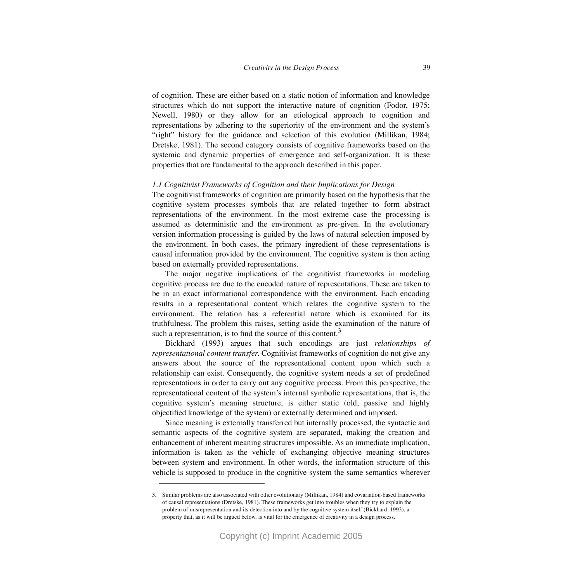of cognition. These are either based on a static notion of information and knowledge structures which do not support the interactive nature of cognition (Fodor, 1975; Newell, 1980) or they allow for an etiological approach to cognition and representations by adhering to the superiority of the environment and the system's "right" history for the guidance and selection of this evolution (Millikan, 1984; Dretske, 1981). The second category consists of cognitive frameworks based on the systemic and dynamic properties of emergence and self-organization. It is these properties that are fundamental to the approach described in this paper.

#### *1.1 Cognitivist Frameworks of Cognition and their Implications for Design*

The cognitivist frameworks of cognition are primarily based on the hypothesis that the cognitive system processes symbols that are related together to form abstract representations of the environment. In the most extreme case the processing is assumed as deterministic and the environment as pre-given. In the evolutionary version information processing is guided by the laws of natural selection imposed by the environment. In both cases, the primary ingredient of these representations is causal information provided by the environment. The cognitive system is then acting based on externally provided representations.

The major negative implications of the cognitivist frameworks in modeling cognitive process are due to the encoded nature of representations. These are taken to be in an exact informational correspondence with the environment. Each encoding results in a representational content which relates the cognitive system to the environment. The relation has a referential nature which is examined for its truthfulness. The problem this raises, setting aside the examination of the nature of such a representation, is to find the source of this content. $3$ 

Bickhard (1993) argues that such encodings are just *relationships of representational content transfer*. Cognitivist frameworks of cognition do not give any answers about the source of the representational content upon which such a relationship can exist. Consequently, the cognitive system needs a set of predefined representations in order to carry out any cognitive process. From this perspective, the representational content of the system's internal symbolic representations, that is, the cognitive system's meaning structure, is either static (old, passive and highly objectified knowledge of the system) or externally determined and imposed.

Since meaning is externally transferred but internally processed, the syntactic and semantic aspects of the cognitive system are separated, making the creation and enhancement of inherent meaning structures impossible. As an immediate implication, information is taken as the vehicle of exchanging objective meaning structures between system and environment. In other words, the information structure of this vehicle is supposed to produce in the cognitive system the same semantics wherever

<sup>3.</sup> Similar problems are also associated with other evolutionary (Millikan, 1984) and covariation-based frameworks of causal representations (Dretske, 1981). These frameworks get into troubles when they try to explain the problem of misrepresentation and its detection into and by the cognitive system itself (Bickhard, 1993), a property that, as it will be argued below, is vital for the emergence of creativity in a design process.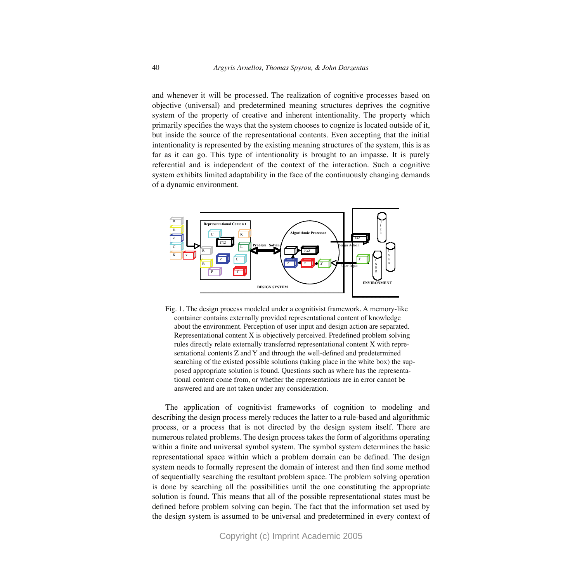and whenever it will be processed. The realization of cognitive processes based on objective (universal) and predetermined meaning structures deprives the cognitive system of the property of creative and inherent intentionality. The property which primarily specifies the ways that the system chooses to cognize is located outside of it, but inside the source of the representational contents. Even accepting that the initial intentionality is represented by the existing meaning structures of the system, this is as far as it can go. This type of intentionality is brought to an impasse. It is purely referential and is independent of the context of the interaction. Such a cognitive system exhibits limited adaptability in the face of the continuously changing demands of a dynamic environment.



Fig. 1. The design process modeled under a cognitivist framework. A memory-like container contains externally provided representational content of knowledge about the environment. Perception of user input and design action are separated. Representational content X is objectively perceived. Predefined problem solving rules directly relate externally transferred representational content X with representational contents Z and Y and through the well-defined and predetermined searching of the existed possible solutions (taking place in the white box) the supposed appropriate solution is found. Questions such as where has the representational content come from, or whether the representations are in error cannot be answered and are not taken under any consideration.

The application of cognitivist frameworks of cognition to modeling and describing the design process merely reduces the latter to a rule-based and algorithmic process, or a process that is not directed by the design system itself. There are numerous related problems. The design process takes the form of algorithms operating within a finite and universal symbol system. The symbol system determines the basic representational space within which a problem domain can be defined. The design system needs to formally represent the domain of interest and then find some method of sequentially searching the resultant problem space. The problem solving operation is done by searching all the possibilities until the one constituting the appropriate solution is found. This means that all of the possible representational states must be defined before problem solving can begin. The fact that the information set used by the design system is assumed to be universal and predetermined in every context of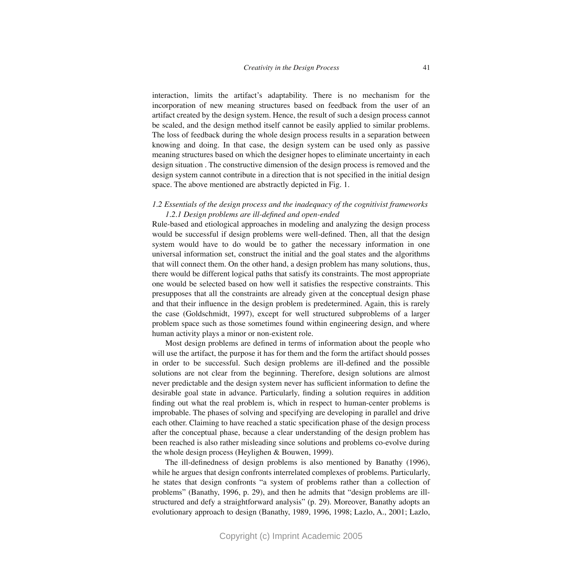interaction, limits the artifact's adaptability. There is no mechanism for the incorporation of new meaning structures based on feedback from the user of an artifact created by the design system. Hence, the result of such a design process cannot be scaled, and the design method itself cannot be easily applied to similar problems. The loss of feedback during the whole design process results in a separation between knowing and doing. In that case, the design system can be used only as passive meaning structures based on which the designer hopes to eliminate uncertainty in each design situation . The constructive dimension of the design process is removed and the design system cannot contribute in a direction that is not specified in the initial design space. The above mentioned are abstractly depicted in Fig. 1.

# *1.2 Essentials of the design process and the inadequacy of the cognitivist frameworks 1.2.1 Design problems are ill-defined and open-ended*

Rule-based and etiological approaches in modeling and analyzing the design process would be successful if design problems were well-defined. Then, all that the design system would have to do would be to gather the necessary information in one universal information set, construct the initial and the goal states and the algorithms that will connect them. On the other hand, a design problem has many solutions, thus, there would be different logical paths that satisfy its constraints. The most appropriate one would be selected based on how well it satisfies the respective constraints. This presupposes that all the constraints are already given at the conceptual design phase and that their influence in the design problem is predetermined. Again, this is rarely the case (Goldschmidt, 1997), except for well structured subproblems of a larger problem space such as those sometimes found within engineering design, and where human activity plays a minor or non-existent role.

Most design problems are defined in terms of information about the people who will use the artifact, the purpose it has for them and the form the artifact should posses in order to be successful. Such design problems are ill-defined and the possible solutions are not clear from the beginning. Therefore, design solutions are almost never predictable and the design system never has sufficient information to define the desirable goal state in advance. Particularly, finding a solution requires in addition finding out what the real problem is, which in respect to human-center problems is improbable. The phases of solving and specifying are developing in parallel and drive each other. Claiming to have reached a static specification phase of the design process after the conceptual phase, because a clear understanding of the design problem has been reached is also rather misleading since solutions and problems co-evolve during the whole design process (Heylighen & Bouwen, 1999).

The ill-definedness of design problems is also mentioned by Banathy (1996), while he argues that design confronts interrelated complexes of problems. Particularly, he states that design confronts "a system of problems rather than a collection of problems" (Banathy, 1996, p. 29), and then he admits that "design problems are illstructured and defy a straightforward analysis" (p. 29). Moreover, Banathy adopts an evolutionary approach to design (Banathy, 1989, 1996, 1998; Lazlo, A., 2001; Lazlo,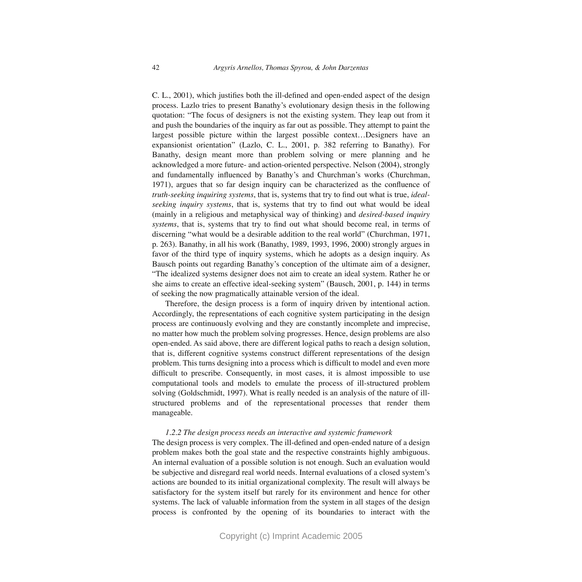C. L., 2001), which justifies both the ill-defined and open-ended aspect of the design process. Lazlo tries to present Banathy's evolutionary design thesis in the following quotation: "The focus of designers is not the existing system. They leap out from it and push the boundaries of the inquiry as far out as possible. They attempt to paint the largest possible picture within the largest possible context…Designers have an expansionist orientation" (Lazlo, C. L., 2001, p. 382 referring to Banathy). For Banathy, design meant more than problem solving or mere planning and he acknowledged a more future- and action-oriented perspective. Nelson (2004), strongly and fundamentally influenced by Banathy's and Churchman's works (Churchman, 1971), argues that so far design inquiry can be characterized as the confluence of *truth-seeking inquiring systems*, that is, systems that try to find out what is true, *idealseeking inquiry systems*, that is, systems that try to find out what would be ideal (mainly in a religious and metaphysical way of thinking) and *desired-based inquiry systems*, that is, systems that try to find out what should become real, in terms of discerning "what would be a desirable addition to the real world" (Churchman, 1971, p. 263). Banathy, in all his work (Banathy, 1989, 1993, 1996, 2000) strongly argues in favor of the third type of inquiry systems, which he adopts as a design inquiry. As Bausch points out regarding Banathy's conception of the ultimate aim of a designer, "The idealized systems designer does not aim to create an ideal system. Rather he or she aims to create an effective ideal-seeking system" (Bausch, 2001, p. 144) in terms of seeking the now pragmatically attainable version of the ideal.

Therefore, the design process is a form of inquiry driven by intentional action. Accordingly, the representations of each cognitive system participating in the design process are continuously evolving and they are constantly incomplete and imprecise, no matter how much the problem solving progresses. Hence, design problems are also open-ended. As said above, there are different logical paths to reach a design solution, that is, different cognitive systems construct different representations of the design problem. This turns designing into a process which is difficult to model and even more difficult to prescribe. Consequently, in most cases, it is almost impossible to use computational tools and models to emulate the process of ill-structured problem solving (Goldschmidt, 1997). What is really needed is an analysis of the nature of illstructured problems and of the representational processes that render them manageable.

# *1.2.2 The design process needs an interactive and systemic framework*

The design process is very complex. The ill-defined and open-ended nature of a design problem makes both the goal state and the respective constraints highly ambiguous. An internal evaluation of a possible solution is not enough. Such an evaluation would be subjective and disregard real world needs. Internal evaluations of a closed system's actions are bounded to its initial organizational complexity. The result will always be satisfactory for the system itself but rarely for its environment and hence for other systems. The lack of valuable information from the system in all stages of the design process is confronted by the opening of its boundaries to interact with the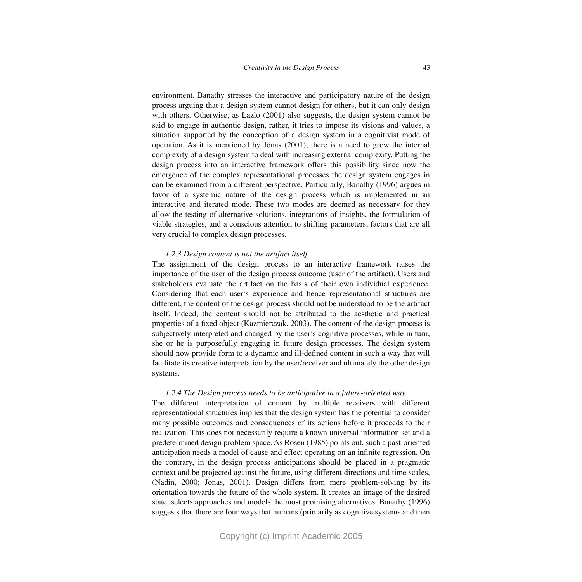environment. Banathy stresses the interactive and participatory nature of the design process arguing that a design system cannot design for others, but it can only design with others. Otherwise, as Lazlo (2001) also suggests, the design system cannot be said to engage in authentic design, rather, it tries to impose its visions and values, a situation supported by the conception of a design system in a cognitivist mode of operation. As it is mentioned by Jonas (2001), there is a need to grow the internal complexity of a design system to deal with increasing external complexity. Putting the design process into an interactive framework offers this possibility since now the emergence of the complex representational processes the design system engages in can be examined from a different perspective. Particularly, Banathy (1996) argues in favor of a systemic nature of the design process which is implemented in an interactive and iterated mode. These two modes are deemed as necessary for they allow the testing of alternative solutions, integrations of insights, the formulation of viable strategies, and a conscious attention to shifting parameters, factors that are all very crucial to complex design processes.

#### *1.2.3 Design content is not the artifact itself*

The assignment of the design process to an interactive framework raises the importance of the user of the design process outcome (user of the artifact). Users and stakeholders evaluate the artifact on the basis of their own individual experience. Considering that each user's experience and hence representational structures are different, the content of the design process should not be understood to be the artifact itself. Indeed, the content should not be attributed to the aesthetic and practical properties of a fixed object (Kazmierczak, 2003). The content of the design process is subjectively interpreted and changed by the user's cognitive processes, while in turn, she or he is purposefully engaging in future design processes. The design system should now provide form to a dynamic and ill-defined content in such a way that will facilitate its creative interpretation by the user/receiver and ultimately the other design systems.

# *1.2.4 The Design process needs to be anticipative in a future-oriented way*

The different interpretation of content by multiple receivers with different representational structures implies that the design system has the potential to consider many possible outcomes and consequences of its actions before it proceeds to their realization. This does not necessarily require a known universal information set and a predetermined design problem space. As Rosen (1985) points out, such a past-oriented anticipation needs a model of cause and effect operating on an infinite regression. On the contrary, in the design process anticipations should be placed in a pragmatic context and be projected against the future, using different directions and time scales, (Nadin, 2000; Jonas, 2001). Design differs from mere problem-solving by its orientation towards the future of the whole system. It creates an image of the desired state, selects approaches and models the most promising alternatives. Banathy (1996) suggests that there are four ways that humans (primarily as cognitive systems and then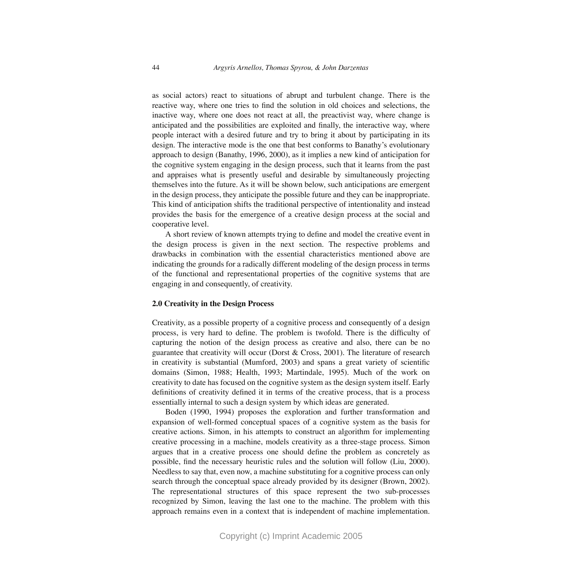as social actors) react to situations of abrupt and turbulent change. There is the reactive way, where one tries to find the solution in old choices and selections, the inactive way, where one does not react at all, the preactivist way, where change is anticipated and the possibilities are exploited and finally, the interactive way, where people interact with a desired future and try to bring it about by participating in its design. The interactive mode is the one that best conforms to Banathy's evolutionary approach to design (Banathy, 1996, 2000), as it implies a new kind of anticipation for the cognitive system engaging in the design process, such that it learns from the past and appraises what is presently useful and desirable by simultaneously projecting themselves into the future. As it will be shown below, such anticipations are emergent in the design process, they anticipate the possible future and they can be inappropriate. This kind of anticipation shifts the traditional perspective of intentionality and instead provides the basis for the emergence of a creative design process at the social and cooperative level.

A short review of known attempts trying to define and model the creative event in the design process is given in the next section. The respective problems and drawbacks in combination with the essential characteristics mentioned above are indicating the grounds for a radically different modeling of the design process in terms of the functional and representational properties of the cognitive systems that are engaging in and consequently, of creativity.

#### **2.0 Creativity in the Design Process**

Creativity, as a possible property of a cognitive process and consequently of a design process, is very hard to define. The problem is twofold. There is the difficulty of capturing the notion of the design process as creative and also, there can be no guarantee that creativity will occur (Dorst & Cross, 2001). The literature of research in creativity is substantial (Mumford, 2003) and spans a great variety of scientific domains (Simon, 1988; Health, 1993; Martindale, 1995). Much of the work on creativity to date has focused on the cognitive system as the design system itself. Early definitions of creativity defined it in terms of the creative process, that is a process essentially internal to such a design system by which ideas are generated.

Boden (1990, 1994) proposes the exploration and further transformation and expansion of well-formed conceptual spaces of a cognitive system as the basis for creative actions. Simon, in his attempts to construct an algorithm for implementing creative processing in a machine, models creativity as a three-stage process. Simon argues that in a creative process one should define the problem as concretely as possible, find the necessary heuristic rules and the solution will follow (Liu, 2000). Needless to say that, even now, a machine substituting for a cognitive process can only search through the conceptual space already provided by its designer (Brown, 2002). The representational structures of this space represent the two sub-processes recognized by Simon, leaving the last one to the machine. The problem with this approach remains even in a context that is independent of machine implementation.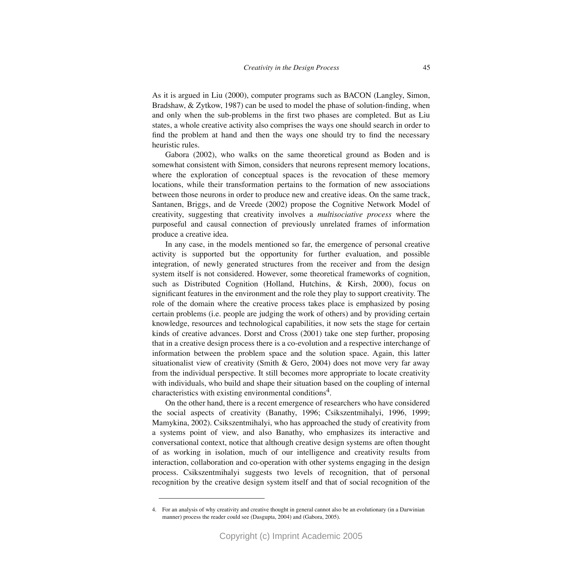As it is argued in Liu (2000), computer programs such as BACON (Langley, Simon, Bradshaw, & Zytkow, 1987) can be used to model the phase of solution-finding, when and only when the sub-problems in the first two phases are completed. But as Liu states, a whole creative activity also comprises the ways one should search in order to find the problem at hand and then the ways one should try to find the necessary

Gabora (2002), who walks on the same theoretical ground as Boden and is somewhat consistent with Simon, considers that neurons represent memory locations, where the exploration of conceptual spaces is the revocation of these memory locations, while their transformation pertains to the formation of new associations between those neurons in order to produce new and creative ideas. On the same track, Santanen, Briggs, and de Vreede (2002) propose the Cognitive Network Model of creativity, suggesting that creativity involves a *multisociative process* where the purposeful and causal connection of previously unrelated frames of information produce a creative idea.

heuristic rules.

In any case, in the models mentioned so far, the emergence of personal creative activity is supported but the opportunity for further evaluation, and possible integration, of newly generated structures from the receiver and from the design system itself is not considered. However, some theoretical frameworks of cognition, such as Distributed Cognition (Holland, Hutchins, & Kirsh, 2000), focus on significant features in the environment and the role they play to support creativity. The role of the domain where the creative process takes place is emphasized by posing certain problems (i.e. people are judging the work of others) and by providing certain knowledge, resources and technological capabilities, it now sets the stage for certain kinds of creative advances. Dorst and Cross (2001) take one step further, proposing that in a creative design process there is a co-evolution and a respective interchange of information between the problem space and the solution space. Again, this latter situationalist view of creativity (Smith & Gero, 2004) does not move very far away from the individual perspective. It still becomes more appropriate to locate creativity with individuals, who build and shape their situation based on the coupling of internal characteristics with existing environmental conditions<sup>4</sup>.

On the other hand, there is a recent emergence of researchers who have considered the social aspects of creativity (Banathy, 1996; Csikszentmihalyi, 1996, 1999; Mamykina, 2002). Csikszentmihalyi, who has approached the study of creativity from a systems point of view, and also Banathy, who emphasizes its interactive and conversational context, notice that although creative design systems are often thought of as working in isolation, much of our intelligence and creativity results from interaction, collaboration and co-operation with other systems engaging in the design process. Csikszentmihalyi suggests two levels of recognition, that of personal recognition by the creative design system itself and that of social recognition of the

<sup>4.</sup> For an analysis of why creativity and creative thought in general cannot also be an evolutionary (in a Darwinian manner) process the reader could see (Dasgupta, 2004) and (Gabora, 2005).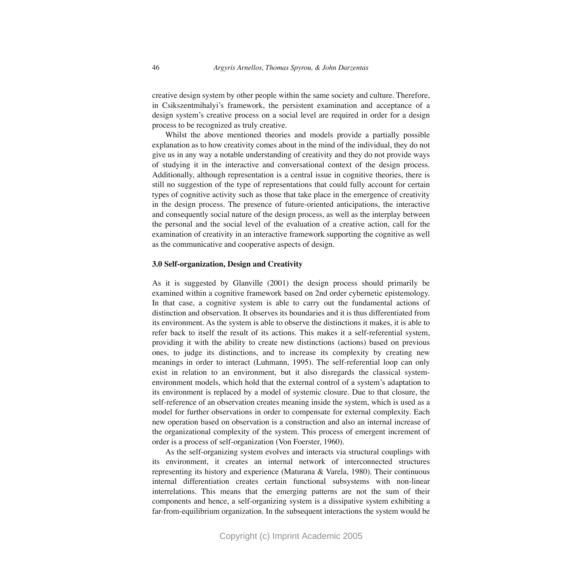creative design system by other people within the same society and culture. Therefore, in Csikszentmihalyi's framework, the persistent examination and acceptance of a design system's creative process on a social level are required in order for a design process to be recognized as truly creative.

Whilst the above mentioned theories and models provide a partially possible explanation as to how creativity comes about in the mind of the individual, they do not give us in any way a notable understanding of creativity and they do not provide ways of studying it in the interactive and conversational context of the design process. Additionally, although representation is a central issue in cognitive theories, there is still no suggestion of the type of representations that could fully account for certain types of cognitive activity such as those that take place in the emergence of creativity in the design process. The presence of future-oriented anticipations, the interactive and consequently social nature of the design process, as well as the interplay between the personal and the social level of the evaluation of a creative action, call for the examination of creativity in an interactive framework supporting the cognitive as well as the communicative and cooperative aspects of design.

### **3.0 Self-organization, Design and Creativity**

As it is suggested by Glanville (2001) the design process should primarily be examined within a cognitive framework based on 2nd order cybernetic epistemology. In that case, a cognitive system is able to carry out the fundamental actions of distinction and observation. It observes its boundaries and it is thus differentiated from its environment. As the system is able to observe the distinctions it makes, it is able to refer back to itself the result of its actions. This makes it a self-referential system, providing it with the ability to create new distinctions (actions) based on previous ones, to judge its distinctions, and to increase its complexity by creating new meanings in order to interact (Luhmann, 1995). The self-referential loop can only exist in relation to an environment, but it also disregards the classical systemenvironment models, which hold that the external control of a system's adaptation to its environment is replaced by a model of systemic closure. Due to that closure, the self-reference of an observation creates meaning inside the system, which is used as a model for further observations in order to compensate for external complexity. Each new operation based on observation is a construction and also an internal increase of the organizational complexity of the system. This process of emergent increment of order is a process of self-organization (Von Foerster, 1960).

As the self-organizing system evolves and interacts via structural couplings with its environment, it creates an internal network of interconnected structures representing its history and experience (Maturana & Varela, 1980). Their continuous internal differentiation creates certain functional subsystems with non-linear interrelations. This means that the emerging patterns are not the sum of their components and hence, a self-organizing system is a dissipative system exhibiting a far-from-equilibrium organization. In the subsequent interactions the system would be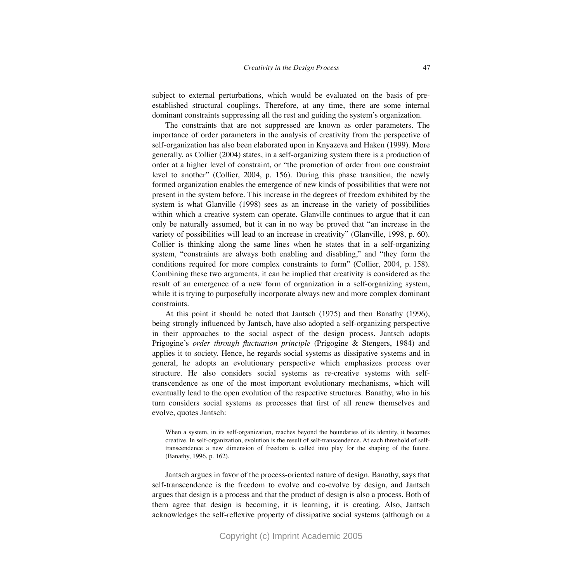subject to external perturbations, which would be evaluated on the basis of preestablished structural couplings. Therefore, at any time, there are some internal dominant constraints suppressing all the rest and guiding the system's organization.

The constraints that are not suppressed are known as order parameters. The importance of order parameters in the analysis of creativity from the perspective of self-organization has also been elaborated upon in Knyazeva and Haken (1999). More generally, as Collier (2004) states, in a self-organizing system there is a production of order at a higher level of constraint, or "the promotion of order from one constraint level to another" (Collier, 2004, p. 156). During this phase transition, the newly formed organization enables the emergence of new kinds of possibilities that were not present in the system before. This increase in the degrees of freedom exhibited by the system is what Glanville (1998) sees as an increase in the variety of possibilities within which a creative system can operate. Glanville continues to argue that it can only be naturally assumed, but it can in no way be proved that "an increase in the variety of possibilities will lead to an increase in creativity" (Glanville, 1998, p. 60). Collier is thinking along the same lines when he states that in a self-organizing system, "constraints are always both enabling and disabling," and "they form the conditions required for more complex constraints to form" (Collier, 2004, p. 158). Combining these two arguments, it can be implied that creativity is considered as the result of an emergence of a new form of organization in a self-organizing system, while it is trying to purposefully incorporate always new and more complex dominant constraints.

At this point it should be noted that Jantsch (1975) and then Banathy (1996), being strongly influenced by Jantsch, have also adopted a self-organizing perspective in their approaches to the social aspect of the design process. Jantsch adopts Prigogine's *order through fluctuation principle* (Prigogine & Stengers, 1984) and applies it to society. Hence, he regards social systems as dissipative systems and in general, he adopts an evolutionary perspective which emphasizes process over structure. He also considers social systems as re-creative systems with selftranscendence as one of the most important evolutionary mechanisms, which will eventually lead to the open evolution of the respective structures. Banathy, who in his turn considers social systems as processes that first of all renew themselves and evolve, quotes Jantsch:

When a system, in its self-organization, reaches beyond the boundaries of its identity, it becomes creative. In self-organization, evolution is the result of self-transcendence. At each threshold of selftranscendence a new dimension of freedom is called into play for the shaping of the future. (Banathy, 1996, p. 162).

Jantsch argues in favor of the process-oriented nature of design. Banathy, says that self-transcendence is the freedom to evolve and co-evolve by design, and Jantsch argues that design is a process and that the product of design is also a process. Both of them agree that design is becoming, it is learning, it is creating. Also, Jantsch acknowledges the self-reflexive property of dissipative social systems (although on a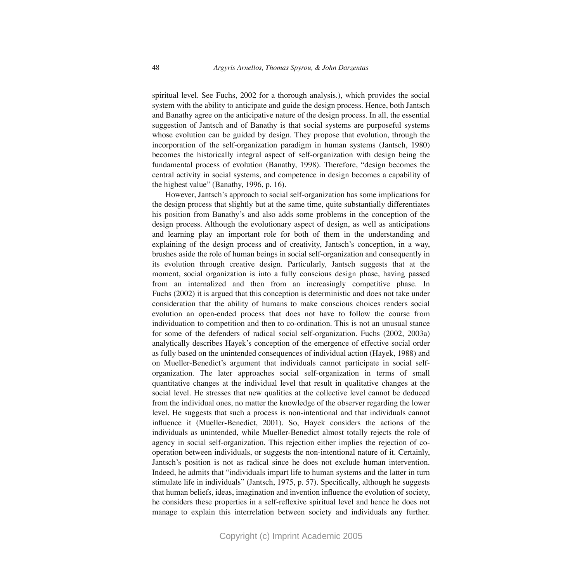spiritual level. See Fuchs, 2002 for a thorough analysis.), which provides the social system with the ability to anticipate and guide the design process. Hence, both Jantsch and Banathy agree on the anticipative nature of the design process. In all, the essential suggestion of Jantsch and of Banathy is that social systems are purposeful systems whose evolution can be guided by design. They propose that evolution, through the incorporation of the self-organization paradigm in human systems (Jantsch, 1980) becomes the historically integral aspect of self-organization with design being the fundamental process of evolution (Banathy, 1998). Therefore, "design becomes the central activity in social systems, and competence in design becomes a capability of the highest value" (Banathy, 1996, p. 16).

However, Jantsch's approach to social self-organization has some implications for the design process that slightly but at the same time, quite substantially differentiates his position from Banathy's and also adds some problems in the conception of the design process. Although the evolutionary aspect of design, as well as anticipations and learning play an important role for both of them in the understanding and explaining of the design process and of creativity, Jantsch's conception, in a way, brushes aside the role of human beings in social self-organization and consequently in its evolution through creative design. Particularly, Jantsch suggests that at the moment, social organization is into a fully conscious design phase, having passed from an internalized and then from an increasingly competitive phase. In Fuchs (2002) it is argued that this conception is deterministic and does not take under consideration that the ability of humans to make conscious choices renders social evolution an open-ended process that does not have to follow the course from individuation to competition and then to co-ordination. This is not an unusual stance for some of the defenders of radical social self-organization. Fuchs (2002, 2003a) analytically describes Hayek's conception of the emergence of effective social order as fully based on the unintended consequences of individual action (Hayek, 1988) and on Mueller-Benedict's argument that individuals cannot participate in social selforganization. The later approaches social self-organization in terms of small quantitative changes at the individual level that result in qualitative changes at the social level. He stresses that new qualities at the collective level cannot be deduced from the individual ones, no matter the knowledge of the observer regarding the lower level. He suggests that such a process is non-intentional and that individuals cannot influence it (Mueller-Benedict, 2001). So, Hayek considers the actions of the individuals as unintended, while Mueller-Benedict almost totally rejects the role of agency in social self-organization. This rejection either implies the rejection of cooperation between individuals, or suggests the non-intentional nature of it. Certainly, Jantsch's position is not as radical since he does not exclude human intervention. Indeed, he admits that "individuals impart life to human systems and the latter in turn stimulate life in individuals" (Jantsch, 1975, p. 57). Specifically, although he suggests that human beliefs, ideas, imagination and invention influence the evolution of society, he considers these properties in a self-reflexive spiritual level and hence he does not manage to explain this interrelation between society and individuals any further.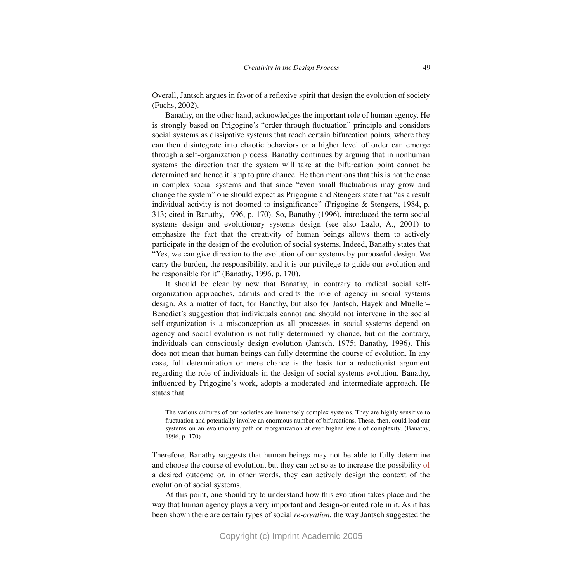Overall, Jantsch argues in favor of a reflexive spirit that design the evolution of society (Fuchs, 2002).

Banathy, on the other hand, acknowledges the important role of human agency. He is strongly based on Prigogine's "order through fluctuation" principle and considers social systems as dissipative systems that reach certain bifurcation points, where they can then disintegrate into chaotic behaviors or a higher level of order can emerge through a self-organization process. Banathy continues by arguing that in nonhuman systems the direction that the system will take at the bifurcation point cannot be determined and hence it is up to pure chance. He then mentions that this is not the case in complex social systems and that since "even small fluctuations may grow and change the system" one should expect as Prigogine and Stengers state that "as a result individual activity is not doomed to insignificance" (Prigogine & Stengers, 1984, p. 313; cited in Banathy, 1996, p. 170). So, Banathy (1996), introduced the term social systems design and evolutionary systems design (see also Lazlo, A., 2001) to emphasize the fact that the creativity of human beings allows them to actively participate in the design of the evolution of social systems. Indeed, Banathy states that "Yes, we can give direction to the evolution of our systems by purposeful design. We carry the burden, the responsibility, and it is our privilege to guide our evolution and be responsible for it" (Banathy, 1996, p. 170).

It should be clear by now that Banathy, in contrary to radical social selforganization approaches, admits and credits the role of agency in social systems design. As a matter of fact, for Banathy, but also for Jantsch, Hayek and Mueller– Benedict's suggestion that individuals cannot and should not intervene in the social self-organization is a misconception as all processes in social systems depend on agency and social evolution is not fully determined by chance, but on the contrary, individuals can consciously design evolution (Jantsch, 1975; Banathy, 1996). This does not mean that human beings can fully determine the course of evolution. In any case, full determination or mere chance is the basis for a reductionist argument regarding the role of individuals in the design of social systems evolution. Banathy, influenced by Prigogine's work, adopts a moderated and intermediate approach. He states that

The various cultures of our societies are immensely complex systems. They are highly sensitive to fluctuation and potentially involve an enormous number of bifurcations. These, then, could lead our systems on an evolutionary path or reorganization at ever higher levels of complexity. (Banathy, 1996, p. 170)

Therefore, Banathy suggests that human beings may not be able to fully determine and choose the course of evolution, but they can act so as to increase the possibility of a desired outcome or, in other words, they can actively design the context of the evolution of social systems.

At this point, one should try to understand how this evolution takes place and the way that human agency plays a very important and design-oriented role in it. As it has been shown there are certain types of social *re-creation*, the way Jantsch suggested the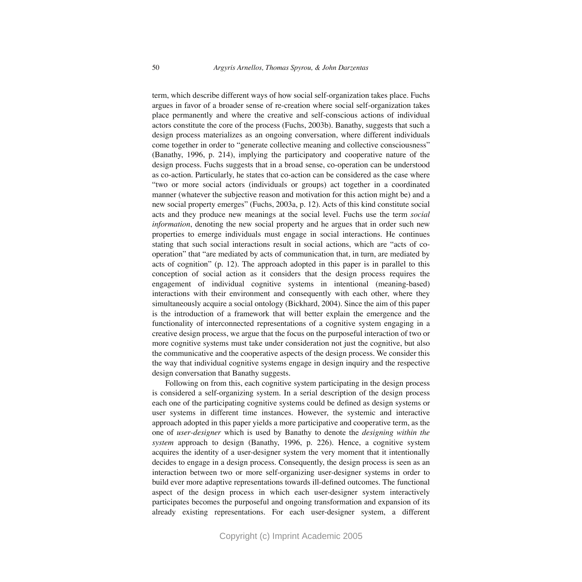term, which describe different ways of how social self-organization takes place. Fuchs argues in favor of a broader sense of re-creation where social self-organization takes place permanently and where the creative and self-conscious actions of individual actors constitute the core of the process (Fuchs, 2003b). Banathy, suggests that such a design process materializes as an ongoing conversation, where different individuals come together in order to "generate collective meaning and collective consciousness" (Banathy, 1996, p. 214), implying the participatory and cooperative nature of the design process. Fuchs suggests that in a broad sense, co-operation can be understood as co-action. Particularly, he states that co-action can be considered as the case where "two or more social actors (individuals or groups) act together in a coordinated manner (whatever the subjective reason and motivation for this action might be) and a new social property emerges" (Fuchs, 2003a, p. 12). Acts of this kind constitute social acts and they produce new meanings at the social level. Fuchs use the term *social information*, denoting the new social property and he argues that in order such new properties to emerge individuals must engage in social interactions. He continues stating that such social interactions result in social actions, which are "acts of cooperation" that "are mediated by acts of communication that, in turn, are mediated by acts of cognition" (p. 12). The approach adopted in this paper is in parallel to this conception of social action as it considers that the design process requires the engagement of individual cognitive systems in intentional (meaning-based) interactions with their environment and consequently with each other, where they simultaneously acquire a social ontology (Bickhard, 2004). Since the aim of this paper is the introduction of a framework that will better explain the emergence and the functionality of interconnected representations of a cognitive system engaging in a creative design process, we argue that the focus on the purposeful interaction of two or more cognitive systems must take under consideration not just the cognitive, but also the communicative and the cooperative aspects of the design process. We consider this the way that individual cognitive systems engage in design inquiry and the respective design conversation that Banathy suggests.

Following on from this, each cognitive system participating in the design process is considered a self-organizing system. In a serial description of the design process each one of the participating cognitive systems could be defined as design systems or user systems in different time instances. However, the systemic and interactive approach adopted in this paper yields a more participative and cooperative term, as the one of *user-designer* which is used by Banathy to denote the *designing within the system* approach to design (Banathy, 1996, p. 226). Hence, a cognitive system acquires the identity of a user-designer system the very moment that it intentionally decides to engage in a design process. Consequently, the design process is seen as an interaction between two or more self-organizing user-designer systems in order to build ever more adaptive representations towards ill-defined outcomes. The functional aspect of the design process in which each user-designer system interactively participates becomes the purposeful and ongoing transformation and expansion of its already existing representations. For each user-designer system, a different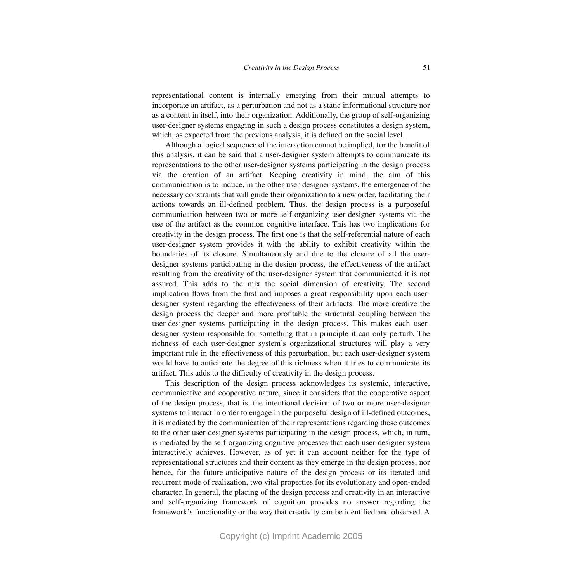representational content is internally emerging from their mutual attempts to incorporate an artifact, as a perturbation and not as a static informational structure nor as a content in itself, into their organization. Additionally, the group of self-organizing user-designer systems engaging in such a design process constitutes a design system, which, as expected from the previous analysis, it is defined on the social level.

Although a logical sequence of the interaction cannot be implied, for the benefit of this analysis, it can be said that a user-designer system attempts to communicate its representations to the other user-designer systems participating in the design process via the creation of an artifact. Keeping creativity in mind, the aim of this communication is to induce, in the other user-designer systems, the emergence of the necessary constraints that will guide their organization to a new order, facilitating their actions towards an ill-defined problem. Thus, the design process is a purposeful communication between two or more self-organizing user-designer systems via the use of the artifact as the common cognitive interface. This has two implications for creativity in the design process. The first one is that the self-referential nature of each user-designer system provides it with the ability to exhibit creativity within the boundaries of its closure. Simultaneously and due to the closure of all the userdesigner systems participating in the design process, the effectiveness of the artifact resulting from the creativity of the user-designer system that communicated it is not assured. This adds to the mix the social dimension of creativity. The second implication flows from the first and imposes a great responsibility upon each userdesigner system regarding the effectiveness of their artifacts. The more creative the design process the deeper and more profitable the structural coupling between the user-designer systems participating in the design process. This makes each userdesigner system responsible for something that in principle it can only perturb. The richness of each user-designer system's organizational structures will play a very important role in the effectiveness of this perturbation, but each user-designer system would have to anticipate the degree of this richness when it tries to communicate its artifact. This adds to the difficulty of creativity in the design process.

This description of the design process acknowledges its systemic, interactive, communicative and cooperative nature, since it considers that the cooperative aspect of the design process, that is, the intentional decision of two or more user-designer systems to interact in order to engage in the purposeful design of ill-defined outcomes, it is mediated by the communication of their representations regarding these outcomes to the other user-designer systems participating in the design process, which, in turn, is mediated by the self-organizing cognitive processes that each user-designer system interactively achieves. However, as of yet it can account neither for the type of representational structures and their content as they emerge in the design process, nor hence, for the future-anticipative nature of the design process or its iterated and recurrent mode of realization, two vital properties for its evolutionary and open-ended character. In general, the placing of the design process and creativity in an interactive and self-organizing framework of cognition provides no answer regarding the framework's functionality or the way that creativity can be identified and observed. A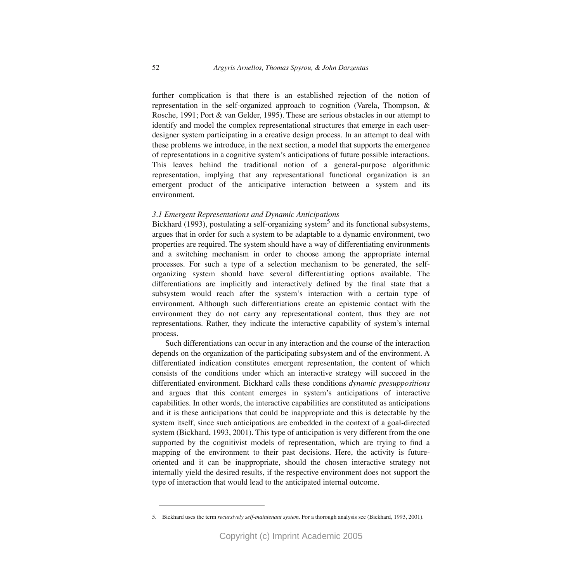further complication is that there is an established rejection of the notion of representation in the self-organized approach to cognition (Varela, Thompson, & Rosche, 1991; Port & van Gelder, 1995). These are serious obstacles in our attempt to identify and model the complex representational structures that emerge in each userdesigner system participating in a creative design process. In an attempt to deal with these problems we introduce, in the next section, a model that supports the emergence of representations in a cognitive system's anticipations of future possible interactions. This leaves behind the traditional notion of a general-purpose algorithmic representation, implying that any representational functional organization is an emergent product of the anticipative interaction between a system and its environment.

# *3.1 Emergent Representations and Dynamic Anticipations*

Bickhard (1993), postulating a self-organizing system<sup>5</sup> and its functional subsystems, argues that in order for such a system to be adaptable to a dynamic environment, two properties are required. The system should have a way of differentiating environments and a switching mechanism in order to choose among the appropriate internal processes. For such a type of a selection mechanism to be generated, the selforganizing system should have several differentiating options available. The differentiations are implicitly and interactively defined by the final state that a subsystem would reach after the system's interaction with a certain type of environment. Although such differentiations create an epistemic contact with the environment they do not carry any representational content, thus they are not representations. Rather, they indicate the interactive capability of system's internal process.

Such differentiations can occur in any interaction and the course of the interaction depends on the organization of the participating subsystem and of the environment. A differentiated indication constitutes emergent representation, the content of which consists of the conditions under which an interactive strategy will succeed in the differentiated environment. Bickhard calls these conditions *dynamic presuppositions* and argues that this content emerges in system's anticipations of interactive capabilities. In other words, the interactive capabilities are constituted as anticipations and it is these anticipations that could be inappropriate and this is detectable by the system itself, since such anticipations are embedded in the context of a goal-directed system (Bickhard, 1993, 2001). This type of anticipation is very different from the one supported by the cognitivist models of representation, which are trying to find a mapping of the environment to their past decisions. Here, the activity is futureoriented and it can be inappropriate, should the chosen interactive strategy not internally yield the desired results, if the respective environment does not support the type of interaction that would lead to the anticipated internal outcome.

<sup>5.</sup> Bickhard uses the term *recursively self-maintenant system*. For a thorough analysis see (Bickhard, 1993, 2001).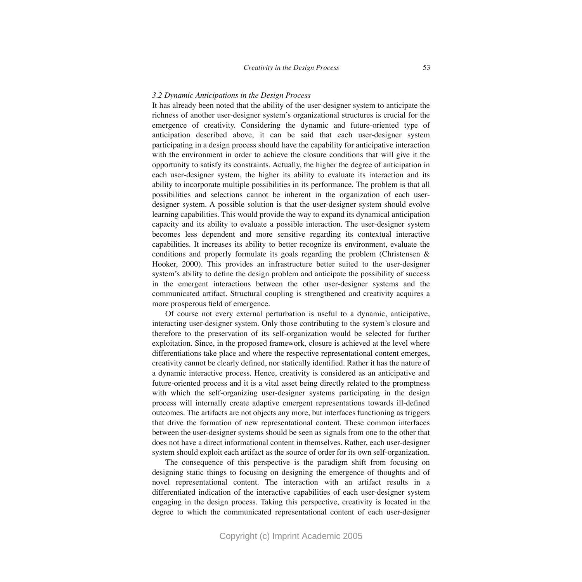#### *3.2 Dynamic Anticipations in the Design Process*

It has already been noted that the ability of the user-designer system to anticipate the richness of another user-designer system's organizational structures is crucial for the emergence of creativity. Considering the dynamic and future-oriented type of anticipation described above, it can be said that each user-designer system participating in a design process should have the capability for anticipative interaction with the environment in order to achieve the closure conditions that will give it the opportunity to satisfy its constraints. Actually, the higher the degree of anticipation in each user-designer system, the higher its ability to evaluate its interaction and its ability to incorporate multiple possibilities in its performance. The problem is that all possibilities and selections cannot be inherent in the organization of each userdesigner system. A possible solution is that the user-designer system should evolve learning capabilities. This would provide the way to expand its dynamical anticipation capacity and its ability to evaluate a possible interaction. The user-designer system becomes less dependent and more sensitive regarding its contextual interactive capabilities. It increases its ability to better recognize its environment, evaluate the conditions and properly formulate its goals regarding the problem (Christensen & Hooker, 2000). This provides an infrastructure better suited to the user-designer system's ability to define the design problem and anticipate the possibility of success in the emergent interactions between the other user-designer systems and the communicated artifact. Structural coupling is strengthened and creativity acquires a more prosperous field of emergence.

Of course not every external perturbation is useful to a dynamic, anticipative, interacting user-designer system. Only those contributing to the system's closure and therefore to the preservation of its self-organization would be selected for further exploitation. Since, in the proposed framework, closure is achieved at the level where differentiations take place and where the respective representational content emerges, creativity cannot be clearly defined, nor statically identified. Rather it has the nature of a dynamic interactive process. Hence, creativity is considered as an anticipative and future-oriented process and it is a vital asset being directly related to the promptness with which the self-organizing user-designer systems participating in the design process will internally create adaptive emergent representations towards ill-defined outcomes. The artifacts are not objects any more, but interfaces functioning as triggers that drive the formation of new representational content. These common interfaces between the user-designer systems should be seen as signals from one to the other that does not have a direct informational content in themselves. Rather, each user-designer system should exploit each artifact as the source of order for its own self-organization.

The consequence of this perspective is the paradigm shift from focusing on designing static things to focusing on designing the emergence of thoughts and of novel representational content. The interaction with an artifact results in a differentiated indication of the interactive capabilities of each user-designer system engaging in the design process. Taking this perspective, creativity is located in the degree to which the communicated representational content of each user-designer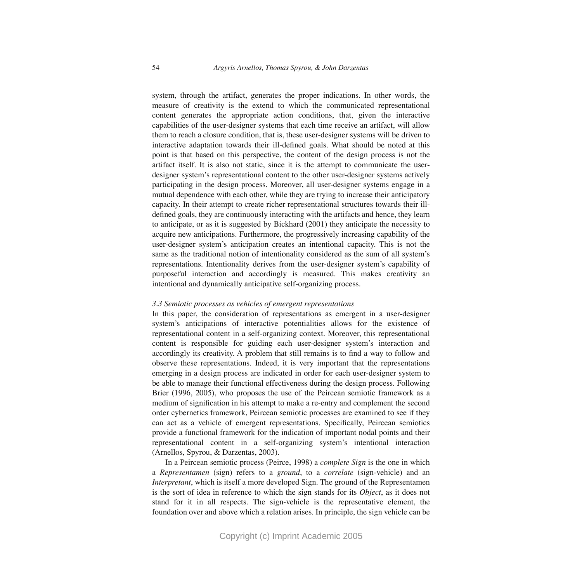system, through the artifact, generates the proper indications. In other words, the measure of creativity is the extend to which the communicated representational content generates the appropriate action conditions, that, given the interactive capabilities of the user-designer systems that each time receive an artifact, will allow them to reach a closure condition, that is, these user-designer systems will be driven to interactive adaptation towards their ill-defined goals. What should be noted at this point is that based on this perspective, the content of the design process is not the artifact itself. It is also not static, since it is the attempt to communicate the userdesigner system's representational content to the other user-designer systems actively participating in the design process. Moreover, all user-designer systems engage in a mutual dependence with each other, while they are trying to increase their anticipatory capacity. In their attempt to create richer representational structures towards their illdefined goals, they are continuously interacting with the artifacts and hence, they learn to anticipate, or as it is suggested by Bickhard (2001) they anticipate the necessity to acquire new anticipations. Furthermore, the progressively increasing capability of the user-designer system's anticipation creates an intentional capacity. This is not the same as the traditional notion of intentionality considered as the sum of all system's representations. Intentionality derives from the user-designer system's capability of purposeful interaction and accordingly is measured. This makes creativity an intentional and dynamically anticipative self-organizing process.

#### *3.3 Semiotic processes as vehicles of emergent representations*

In this paper, the consideration of representations as emergent in a user-designer system's anticipations of interactive potentialities allows for the existence of representational content in a self-organizing context. Moreover, this representational content is responsible for guiding each user-designer system's interaction and accordingly its creativity. A problem that still remains is to find a way to follow and observe these representations. Indeed, it is very important that the representations emerging in a design process are indicated in order for each user-designer system to be able to manage their functional effectiveness during the design process. Following Brier (1996, 2005), who proposes the use of the Peircean semiotic framework as a medium of signification in his attempt to make a re-entry and complement the second order cybernetics framework, Peircean semiotic processes are examined to see if they can act as a vehicle of emergent representations. Specifically, Peircean semiotics provide a functional framework for the indication of important nodal points and their representational content in a self-organizing system's intentional interaction (Arnellos, Spyrou, & Darzentas, 2003).

In a Peircean semiotic process (Peirce, 1998) a *complete Sign* is the one in which a *Representamen* (sign) refers to a *ground*, to a *correlate* (sign-vehicle) and an *Interpretant*, which is itself a more developed Sign. The ground of the Representamen is the sort of idea in reference to which the sign stands for its *Object*, as it does not stand for it in all respects. The sign-vehicle is the representative element, the foundation over and above which a relation arises. In principle, the sign vehicle can be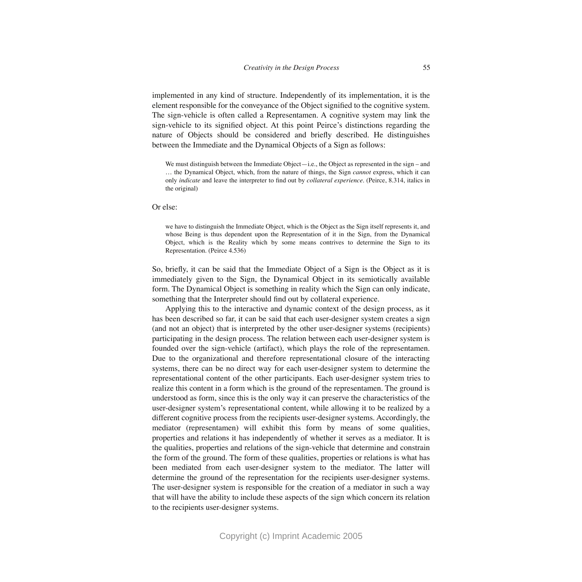implemented in any kind of structure. Independently of its implementation, it is the element responsible for the conveyance of the Object signified to the cognitive system. The sign-vehicle is often called a Representamen. A cognitive system may link the sign-vehicle to its signified object. At this point Peirce's distinctions regarding the nature of Objects should be considered and briefly described. He distinguishes between the Immediate and the Dynamical Objects of a Sign as follows:

We must distinguish between the Immediate Object—i.e., the Object as represented in the sign – and … the Dynamical Object, which, from the nature of things, the Sign *cannot* express, which it can only *indicate* and leave the interpreter to find out by *collateral experience*. (Peirce, 8.314, italics in the original)

#### Or else:

we have to distinguish the Immediate Object, which is the Object as the Sign itself represents it, and whose Being is thus dependent upon the Representation of it in the Sign, from the Dynamical Object, which is the Reality which by some means contrives to determine the Sign to its Representation. (Peirce 4.536)

So, briefly, it can be said that the Immediate Object of a Sign is the Object as it is immediately given to the Sign, the Dynamical Object in its semiotically available form. The Dynamical Object is something in reality which the Sign can only indicate, something that the Interpreter should find out by collateral experience.

Applying this to the interactive and dynamic context of the design process, as it has been described so far, it can be said that each user-designer system creates a sign (and not an object) that is interpreted by the other user-designer systems (recipients) participating in the design process. The relation between each user-designer system is founded over the sign-vehicle (artifact), which plays the role of the representamen. Due to the organizational and therefore representational closure of the interacting systems, there can be no direct way for each user-designer system to determine the representational content of the other participants. Each user-designer system tries to realize this content in a form which is the ground of the representamen. The ground is understood as form, since this is the only way it can preserve the characteristics of the user-designer system's representational content, while allowing it to be realized by a different cognitive process from the recipients user-designer systems. Accordingly, the mediator (representamen) will exhibit this form by means of some qualities, properties and relations it has independently of whether it serves as a mediator. It is the qualities, properties and relations of the sign-vehicle that determine and constrain the form of the ground. The form of these qualities, properties or relations is what has been mediated from each user-designer system to the mediator. The latter will determine the ground of the representation for the recipients user-designer systems. The user-designer system is responsible for the creation of a mediator in such a way that will have the ability to include these aspects of the sign which concern its relation to the recipients user-designer systems.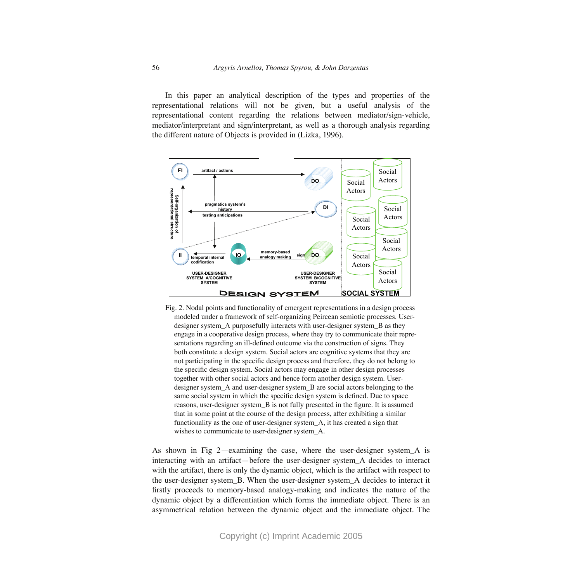In this paper an analytical description of the types and properties of the representational relations will not be given, but a useful analysis of the representational content regarding the relations between mediator/sign-vehicle, mediator/interpretant and sign/interpretant, as well as a thorough analysis regarding the different nature of Objects is provided in (Lizka, 1996).



Fig. 2. Nodal points and functionality of emergent representations in a design process modeled under a framework of self-organizing Peircean semiotic processes. Userdesigner system\_A purposefully interacts with user-designer system\_B as they engage in a cooperative design process, where they try to communicate their representations regarding an ill-defined outcome via the construction of signs. They both constitute a design system. Social actors are cognitive systems that they are not participating in the specific design process and therefore, they do not belong to the specific design system. Social actors may engage in other design processes together with other social actors and hence form another design system. Userdesigner system\_A and user-designer system\_B are social actors belonging to the same social system in which the specific design system is defined. Due to space reasons, user-designer system\_B is not fully presented in the figure. It is assumed that in some point at the course of the design process, after exhibiting a similar functionality as the one of user-designer system\_A, it has created a sign that wishes to communicate to user-designer system\_A.

As shown in Fig 2—examining the case, where the user-designer system\_A is interacting with an artifact—before the user-designer system\_A decides to interact with the artifact, there is only the dynamic object, which is the artifact with respect to the user-designer system\_B. When the user-designer system\_A decides to interact it firstly proceeds to memory-based analogy-making and indicates the nature of the dynamic object by a differentiation which forms the immediate object. There is an asymmetrical relation between the dynamic object and the immediate object. The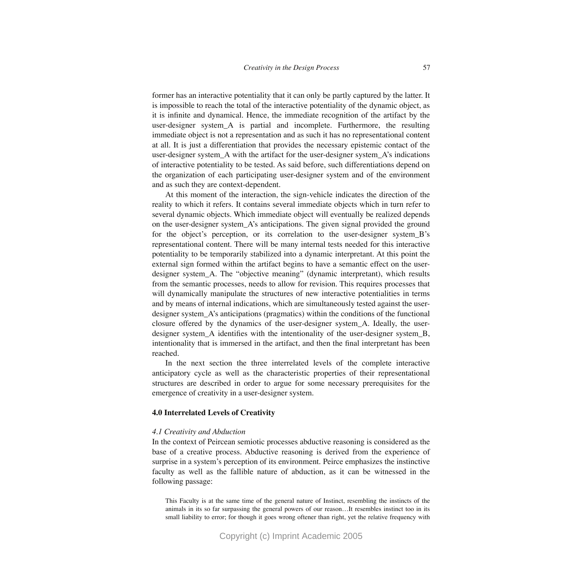former has an interactive potentiality that it can only be partly captured by the latter. It is impossible to reach the total of the interactive potentiality of the dynamic object, as it is infinite and dynamical. Hence, the immediate recognition of the artifact by the user-designer system\_A is partial and incomplete. Furthermore, the resulting immediate object is not a representation and as such it has no representational content at all. It is just a differentiation that provides the necessary epistemic contact of the user-designer system\_A with the artifact for the user-designer system\_A's indications of interactive potentiality to be tested. As said before, such differentiations depend on the organization of each participating user-designer system and of the environment and as such they are context-dependent.

At this moment of the interaction, the sign-vehicle indicates the direction of the reality to which it refers. It contains several immediate objects which in turn refer to several dynamic objects. Which immediate object will eventually be realized depends on the user-designer system\_A's anticipations. The given signal provided the ground for the object's perception, or its correlation to the user-designer system\_B's representational content. There will be many internal tests needed for this interactive potentiality to be temporarily stabilized into a dynamic interpretant. At this point the external sign formed within the artifact begins to have a semantic effect on the userdesigner system\_A. The "objective meaning" (dynamic interpretant), which results from the semantic processes, needs to allow for revision. This requires processes that will dynamically manipulate the structures of new interactive potentialities in terms and by means of internal indications, which are simultaneously tested against the userdesigner system\_A's anticipations (pragmatics) within the conditions of the functional closure offered by the dynamics of the user-designer system\_A. Ideally, the userdesigner system\_A identifies with the intentionality of the user-designer system\_B, intentionality that is immersed in the artifact, and then the final interpretant has been reached.

In the next section the three interrelated levels of the complete interactive anticipatory cycle as well as the characteristic properties of their representational structures are described in order to argue for some necessary prerequisites for the emergence of creativity in a user-designer system.

#### **4.0 Interrelated Levels of Creativity**

#### *4.1 Creativity and Abduction*

In the context of Peircean semiotic processes abductive reasoning is considered as the base of a creative process. Abductive reasoning is derived from the experience of surprise in a system's perception of its environment. Peirce emphasizes the instinctive faculty as well as the fallible nature of abduction, as it can be witnessed in the following passage:

This Faculty is at the same time of the general nature of Instinct, resembling the instincts of the animals in its so far surpassing the general powers of our reason…It resembles instinct too in its small liability to error; for though it goes wrong oftener than right, yet the relative frequency with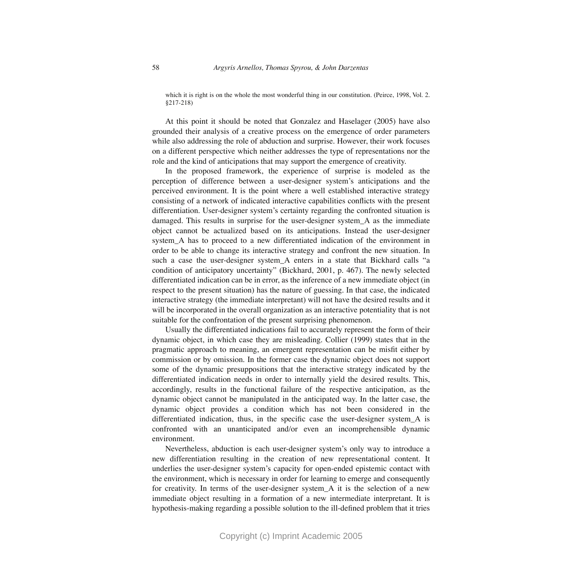which it is right is on the whole the most wonderful thing in our constitution. (Peirce, 1998, Vol. 2. §217-218)

At this point it should be noted that Gonzalez and Haselager (2005) have also grounded their analysis of a creative process on the emergence of order parameters while also addressing the role of abduction and surprise. However, their work focuses on a different perspective which neither addresses the type of representations nor the role and the kind of anticipations that may support the emergence of creativity.

In the proposed framework, the experience of surprise is modeled as the perception of difference between a user-designer system's anticipations and the perceived environment. It is the point where a well established interactive strategy consisting of a network of indicated interactive capabilities conflicts with the present differentiation. User-designer system's certainty regarding the confronted situation is damaged. This results in surprise for the user-designer system\_A as the immediate object cannot be actualized based on its anticipations. Instead the user-designer system\_A has to proceed to a new differentiated indication of the environment in order to be able to change its interactive strategy and confront the new situation. In such a case the user-designer system A enters in a state that Bickhard calls "a condition of anticipatory uncertainty" (Bickhard, 2001, p. 467). The newly selected differentiated indication can be in error, as the inference of a new immediate object (in respect to the present situation) has the nature of guessing. In that case, the indicated interactive strategy (the immediate interpretant) will not have the desired results and it will be incorporated in the overall organization as an interactive potentiality that is not suitable for the confrontation of the present surprising phenomenon.

Usually the differentiated indications fail to accurately represent the form of their dynamic object, in which case they are misleading. Collier (1999) states that in the pragmatic approach to meaning, an emergent representation can be misfit either by commission or by omission. In the former case the dynamic object does not support some of the dynamic presuppositions that the interactive strategy indicated by the differentiated indication needs in order to internally yield the desired results. This, accordingly, results in the functional failure of the respective anticipation, as the dynamic object cannot be manipulated in the anticipated way. In the latter case, the dynamic object provides a condition which has not been considered in the differentiated indication, thus, in the specific case the user-designer system\_A is confronted with an unanticipated and/or even an incomprehensible dynamic environment.

Nevertheless, abduction is each user-designer system's only way to introduce a new differentiation resulting in the creation of new representational content. It underlies the user-designer system's capacity for open-ended epistemic contact with the environment, which is necessary in order for learning to emerge and consequently for creativity. In terms of the user-designer system\_A it is the selection of a new immediate object resulting in a formation of a new intermediate interpretant. It is hypothesis-making regarding a possible solution to the ill-defined problem that it tries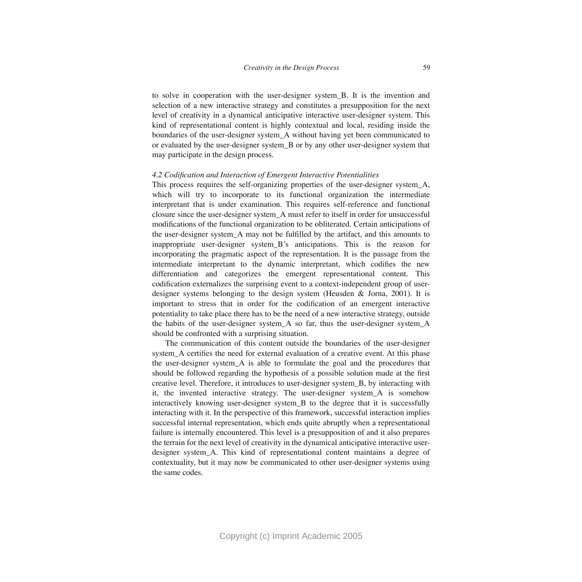to solve in cooperation with the user-designer system\_B. It is the invention and selection of a new interactive strategy and constitutes a presupposition for the next level of creativity in a dynamical anticipative interactive user-designer system. This kind of representational content is highly contextual and local, residing inside the boundaries of the user-designer system\_A without having yet been communicated to or evaluated by the user-designer system\_B or by any other user-designer system that may participate in the design process.

#### *4.2 Codification and Interaction of Emergent Interactive Potentialities*

This process requires the self-organizing properties of the user-designer system\_A, which will try to incorporate to its functional organization the intermediate interpretant that is under examination. This requires self-reference and functional closure since the user-designer system\_A must refer to itself in order for unsuccessful modifications of the functional organization to be obliterated. Certain anticipations of the user-designer system\_A may not be fulfilled by the artifact, and this amounts to inappropriate user-designer system\_B's anticipations. This is the reason for incorporating the pragmatic aspect of the representation. It is the passage from the intermediate interpretant to the dynamic interpretant, which codifies the new differentiation and categorizes the emergent representational content. This codification externalizes the surprising event to a context-independent group of userdesigner systems belonging to the design system (Heusden & Jorna, 2001). It is important to stress that in order for the codification of an emergent interactive potentiality to take place there has to be the need of a new interactive strategy, outside the habits of the user-designer system\_A so far, thus the user-designer system\_A should be confronted with a surprising situation.

The communication of this content outside the boundaries of the user-designer system\_A certifies the need for external evaluation of a creative event. At this phase the user-designer system\_A is able to formulate the goal and the procedures that should be followed regarding the hypothesis of a possible solution made at the first creative level. Therefore, it introduces to user-designer system\_B, by interacting with it, the invented interactive strategy. The user-designer system\_A is somehow interactively knowing user-designer system\_B to the degree that it is successfully interacting with it. In the perspective of this framework, successful interaction implies successful internal representation, which ends quite abruptly when a representational failure is internally encountered. This level is a presupposition of and it also prepares the terrain for the next level of creativity in the dynamical anticipative interactive userdesigner system\_A. This kind of representational content maintains a degree of contextuality, but it may now be communicated to other user-designer systems using the same codes.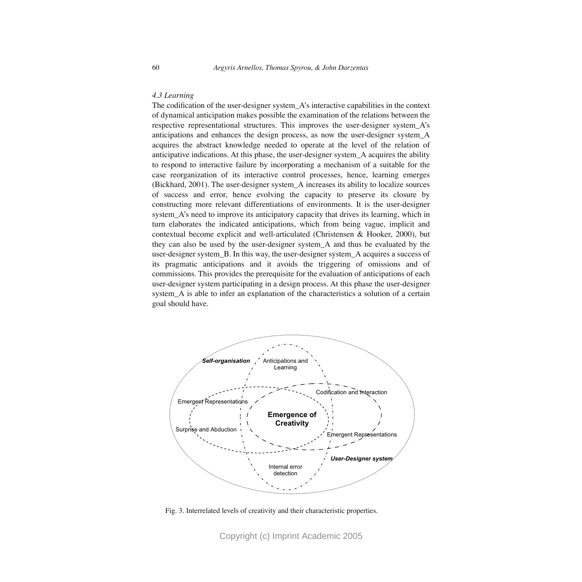# *4.3 Learning*

The codification of the user-designer system\_A's interactive capabilities in the context of dynamical anticipation makes possible the examination of the relations between the respective representational structures. This improves the user-designer system\_A's anticipations and enhances the design process, as now the user-designer system\_A acquires the abstract knowledge needed to operate at the level of the relation of anticipative indications. At this phase, the user-designer system\_A acquires the ability to respond to interactive failure by incorporating a mechanism of a suitable for the case reorganization of its interactive control processes, hence, learning emerges (Bickhard, 2001). The user-designer system\_A increases its ability to localize sources of success and error, hence evolving the capacity to preserve its closure by constructing more relevant differentiations of environments. It is the user-designer system\_A's need to improve its anticipatory capacity that drives its learning, which in turn elaborates the indicated anticipations, which from being vague, implicit and contextual become explicit and well-articulated (Christensen & Hooker, 2000), but they can also be used by the user-designer system\_A and thus be evaluated by the user-designer system\_B. In this way, the user-designer system\_A acquires a success of its pragmatic anticipations and it avoids the triggering of omissions and of commissions. This provides the prerequisite for the evaluation of anticipations of each user-designer system participating in a design process. At this phase the user-designer system\_A is able to infer an explanation of the characteristics a solution of a certain goal should have.



Fig. 3. Interrelated levels of creativity and their characteristic properties.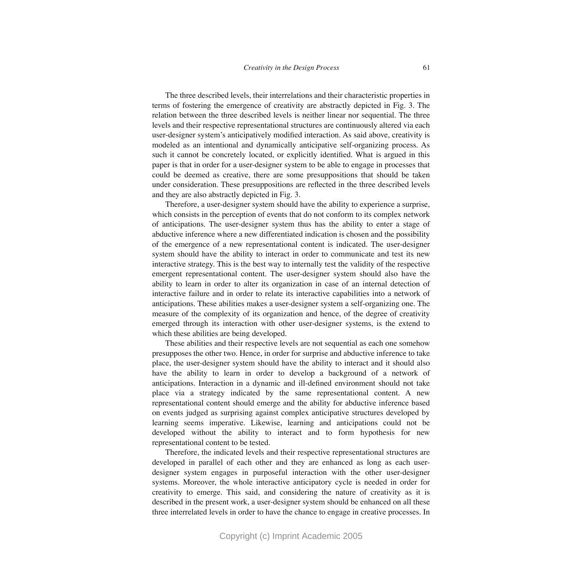The three described levels, their interrelations and their characteristic properties in terms of fostering the emergence of creativity are abstractly depicted in Fig. 3. The relation between the three described levels is neither linear nor sequential. The three levels and their respective representational structures are continuously altered via each user-designer system's anticipatively modified interaction. As said above, creativity is modeled as an intentional and dynamically anticipative self-organizing process. As such it cannot be concretely located, or explicitly identified. What is argued in this paper is that in order for a user-designer system to be able to engage in processes that could be deemed as creative, there are some presuppositions that should be taken under consideration. These presuppositions are reflected in the three described levels and they are also abstractly depicted in Fig. 3.

Therefore, a user-designer system should have the ability to experience a surprise, which consists in the perception of events that do not conform to its complex network of anticipations. The user-designer system thus has the ability to enter a stage of abductive inference where a new differentiated indication is chosen and the possibility of the emergence of a new representational content is indicated. The user-designer system should have the ability to interact in order to communicate and test its new interactive strategy. This is the best way to internally test the validity of the respective emergent representational content. The user-designer system should also have the ability to learn in order to alter its organization in case of an internal detection of interactive failure and in order to relate its interactive capabilities into a network of anticipations. These abilities makes a user-designer system a self-organizing one. The measure of the complexity of its organization and hence, of the degree of creativity emerged through its interaction with other user-designer systems, is the extend to which these abilities are being developed.

These abilities and their respective levels are not sequential as each one somehow presupposes the other two. Hence, in order for surprise and abductive inference to take place, the user-designer system should have the ability to interact and it should also have the ability to learn in order to develop a background of a network of anticipations. Interaction in a dynamic and ill-defined environment should not take place via a strategy indicated by the same representational content. A new representational content should emerge and the ability for abductive inference based on events judged as surprising against complex anticipative structures developed by learning seems imperative. Likewise, learning and anticipations could not be developed without the ability to interact and to form hypothesis for new representational content to be tested.

Therefore, the indicated levels and their respective representational structures are developed in parallel of each other and they are enhanced as long as each userdesigner system engages in purposeful interaction with the other user-designer systems. Moreover, the whole interactive anticipatory cycle is needed in order for creativity to emerge. This said, and considering the nature of creativity as it is described in the present work, a user-designer system should be enhanced on all these three interrelated levels in order to have the chance to engage in creative processes. In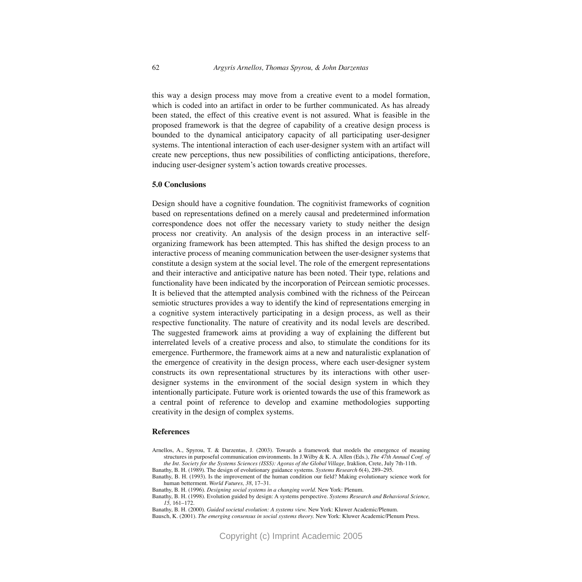this way a design process may move from a creative event to a model formation, which is coded into an artifact in order to be further communicated. As has already been stated, the effect of this creative event is not assured. What is feasible in the proposed framework is that the degree of capability of a creative design process is bounded to the dynamical anticipatory capacity of all participating user-designer systems. The intentional interaction of each user-designer system with an artifact will create new perceptions, thus new possibilities of conflicting anticipations, therefore, inducing user-designer system's action towards creative processes.

#### **5.0 Conclusions**

Design should have a cognitive foundation. The cognitivist frameworks of cognition based on representations defined on a merely causal and predetermined information correspondence does not offer the necessary variety to study neither the design process nor creativity. An analysis of the design process in an interactive selforganizing framework has been attempted. This has shifted the design process to an interactive process of meaning communication between the user-designer systems that constitute a design system at the social level. The role of the emergent representations and their interactive and anticipative nature has been noted. Their type, relations and functionality have been indicated by the incorporation of Peircean semiotic processes. It is believed that the attempted analysis combined with the richness of the Peircean semiotic structures provides a way to identify the kind of representations emerging in a cognitive system interactively participating in a design process, as well as their respective functionality. The nature of creativity and its nodal levels are described. The suggested framework aims at providing a way of explaining the different but interrelated levels of a creative process and also, to stimulate the conditions for its emergence. Furthermore, the framework aims at a new and naturalistic explanation of the emergence of creativity in the design process, where each user-designer system constructs its own representational structures by its interactions with other userdesigner systems in the environment of the social design system in which they intentionally participate. Future work is oriented towards the use of this framework as a central point of reference to develop and examine methodologies supporting creativity in the design of complex systems.

#### **References**

Arnellos, A., Spyrou, T. & Darzentas, J. (2003). Towards a framework that models the emergence of meaning structures in purposeful communication environments. In J.Wilby & K. A. Allen (Eds.), *The 47th Annual Conf. of the Int. Society for the Systems Sciences (ISSS): Agoras of the Global Village, Iraklion, Crete, July 7th-11th.* 

Banathy, B. H. (1989). The design of evolutionary guidance systems. *Systems Research 6*(4), 289–295.

Banathy, B. H. (1993). Is the improvement of the human condition our field? Making evolutionary science work for human betterment. *World Futures, 38*, 17–31.

Banathy, B. H. (1996). *Designing social systems in a changing world.* New York: Plenum.

Banathy, B. H. (1998). Evolution guided by design: A systems perspective. *Systems Research and Behavioral Science, 15,* 161–172.

Banathy, B. H. (2000). *Guided societal evolution: A systems view.* New York: Kluwer Academic/Plenum.

Bausch, K. (2001). *The emerging consensus in social systems theory.* New York: Kluwer Academic/Plenum Press.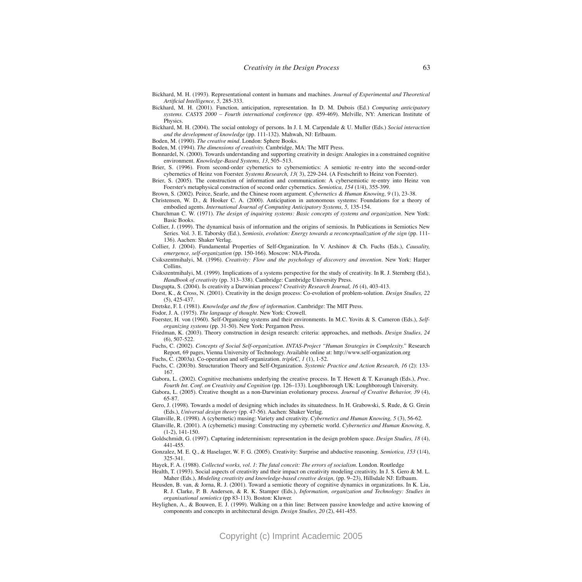- Bickhard, M. H. (1993). Representational content in humans and machines. *Journal of Experimental and Theoretical Artificial Intelligence, 5,* 285-333.
- Bickhard, M. H. (2001). Function, anticipation, representation. In D. M. Dubois (Ed.) *Computing anticipatory systems. CASYS 2000 – Fourth international conference* (pp. 459-469). Melville, NY: American Institute of Physics.
- Bickhard, M. H. (2004). The social ontology of persons. In J. I. M. Carpendale & U. Muller (Eds.) *Social interaction and the development of knowledge* (pp. 111-132). Mahwah, NJ: Erlbaum.
- Boden, M. (1990). *The creative mind.* London: Sphere Books.
- Boden, M. (1994). *The dimensions of creativity.* Cambridge, MA: The MIT Press.
- Bonnardel, N. (2000). Towards understanding and supporting creativity in design: Analogies in a constrained cognitive environment. *Knowledge-Based Systems, 13*, 505–513.
- Brier, S. (1996). From second-order cybernetics to cybersemiotics: A semiotic re-entry into the second-order cybernetics of Heinz von Foerster*. Systems Research, 13*( 3), 229-244. (A Festschrift to Heinz von Foerster).
- Brier, S. (2005). The construction of information and communication: A cybersemiotic re-entry into Heinz von Foerster's metaphysical construction of second order cybernetics. *Semiotica, 154* (1/4), 355-399.
- Brown, S. (2002). Peirce, Searle, and the Chinese room argument. *Cybernetics & Human Knowing, 9* (1), 23-38.
- Christensen, W. D., & Hooker C. A. (2000). Anticipation in autonomous systems: Foundations for a theory of embodied agents. *International Journal of Computing Anticipatory Systems, 5, 135-154*.
- Churchman C. W. (1971). *The design of inquiring systems: Basic concepts of systems and organization.* New York: Basic Books.
- Collier, J. (1999). The dynamical basis of information and the origins of semiosis. In Publications in Semiotics New Series. Vol. 3. E. Taborsky (Ed.), *Semiosis, evolution: Energy towards a reconceptualization of the sign* (pp. 111-136). Aachen: Shaker Verlag.
- Collier, J. (2004). Fundamental Properties of Self-Organization. In V. Arshinov & Ch. Fuchs (Eds.), *Causality, emergence, self-organization* (pp. 150-166). Moscow: NIA-Piroda.
- Csikszentmihalyi, M. (1996). *Creativity: Flow and the psychology of discovery and invention.* New York: Harper Collins.
- Csikszentmihalyi, M. (1999). Implications of a systems perspective for the study of creativity. In R. J. Sternberg (Ed.), *Handbook of creativity* (pp. 313–338). Cambridge: Cambridge University Press.
- Dasgupta, S. (2004). Is creativity a Darwinian process? *Creativity Research Journal, 16* (4), 403-413.
- Dorst, K., & Cross, N. (2001). Creativity in the design process: Co-evolution of problem-solution. *Design Studies, 22* (5), 425-437.
- Dretske, F. I. (1981). *Knowledge and the flow of information.* Cambridge: The MIT Press.
- Fodor, J. A. (1975). *The language of thought*. New York: Crowell.
- Foerster, H. von (1960). Self-Organizing systems and their environments. In M.C. Yovits & S. Cameron (Eds.), *Selforganizing systems* (pp. 31-50). New York: Pergamon Press.
- Friedman, K. (2003). Theory construction in design research: criteria: approaches, and methods. *Design Studies, 24* (6), 507-522.
- Fuchs, C. (2002). *Concepts of Social Self-organization. INTAS-Project "Human Strategies in Complexity."* Research Report, 69 pages, Vienna University of Technology. Available online at: http://www.self-organization.org
- Fuchs, C. (2003a). Co-operation and self-organization. *tripleC, 1* (1), 1-52.
- Fuchs, C. (2003b). Structuration Theory and Self-Organization. *Systemic Practice and Action Research, 16* (2): 133- 167.
- Gabora, L. (2002). Cognitive mechanisms underlying the creative process. In T. Hewett & T. Kavanagh (Eds.), *Proc. Fourth Int. Conf. on Creativity and Cognition* (pp. 126–133). Loughborough UK: Loughborough University.
- Gabora, L. (2005). Creative thought as a non-Darwinian evolutionary process. *Journal of Creative Behavior, 39* (4), 65-87.
- Gero, J. (1998). Towards a model of designing which includes its situatedness. In H. Grabowski, S. Rude, & G. Grein (Eds.), *Universal design theory* (pp. 47-56). Aachen: Shaker Verlag.
- Glanville, R. (1998). A (cybernetic) musing: Variety and creativity. *Cybernetics and Human Knowing, 5* (3), 56-62.
- Glanville, R. (2001). A (cybernetic) musing: Constructing my cybernetic world. *Cybernetics and Human Knowing, 8*, (1-2), 141-150.
- Goldschmidt, G. (1997). Capturing indeterminism: representation in the design problem space. *Design Studies, 18* (4), 441-455.
- Gonzalez, M. E. Q., & Haselager, W. F. G. (2005). Creativity: Surprise and abductive reasoning. *Semiotica, 153* (1/4), 325-341.
- Hayek, F. A. (1988). *Collected works, vol. 1*: *The fatal conceit: The errors of socialism.* London. Routledge
- Health, T. (1993). Social aspects of creativity and their impact on creativity modeling creativity. In J. S. Gero & M. L. Maher (Eds.), *Modeling creativity and knowledge-based creative design*, (pp. 9-23), Hillsdale NJ: Erlbaum.
- Heusden, B. van, & Jorna, R. J. (2001). Toward a semiotic theory of cognitive dynamics in organizations. In K. Liu, R. J. Clarke, P. B. Andersen, & R. K. Stamper (Eds.), *Information, organization and Technology: Studies in organisational semiotics* (pp 83-113). Boston: Kluwer.
- Heylighen, A., & Bouwen, E. J. (1999). Walking on a thin line: Between passive knowledge and active knowing of components and concepts in architectural design. *Design Studies, 20* (2), 441-455.